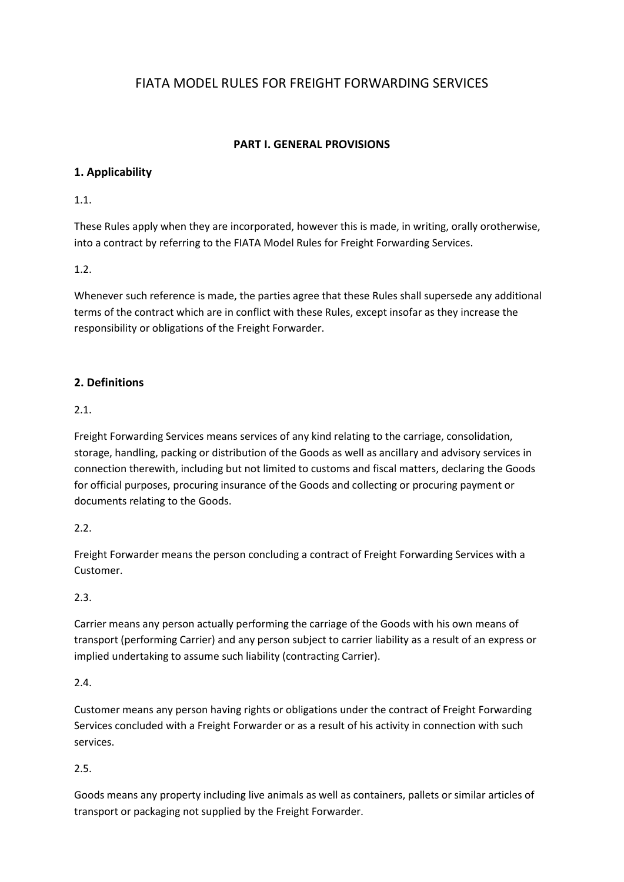# FIATA MODEL RULES FOR FREIGHT FORWARDING SERVICES

## **PART I. GENERAL PROVISIONS**

## **1. Applicability**

## 1.1.

These Rules apply when they are incorporated, however this is made, in writing, orally orotherwise, into a contract by referring to the FIATA Model Rules for Freight Forwarding Services.

## 1.2.

Whenever such reference is made, the parties agree that these Rules shall supersede any additional terms of the contract which are in conflict with these Rules, except insofar as they increase the responsibility or obligations of the Freight Forwarder.

## **2. Definitions**

### 2.1.

Freight Forwarding Services means services of any kind relating to the carriage, consolidation, storage, handling, packing or distribution of the Goods as well as ancillary and advisory services in connection therewith, including but not limited to customs and fiscal matters, declaring the Goods for official purposes, procuring insurance of the Goods and collecting or procuring payment or documents relating to the Goods.

### 2.2.

Freight Forwarder means the person concluding a contract of Freight Forwarding Services with a Customer.

### 2.3.

Carrier means any person actually performing the carriage of the Goods with his own means of transport (performing Carrier) and any person subject to carrier liability as a result of an express or implied undertaking to assume such liability (contracting Carrier).

### 2.4.

Customer means any person having rights or obligations under the contract of Freight Forwarding Services concluded with a Freight Forwarder or as a result of his activity in connection with such services.

## 2.5.

Goods means any property including live animals as well as containers, pallets or similar articles of transport or packaging not supplied by the Freight Forwarder.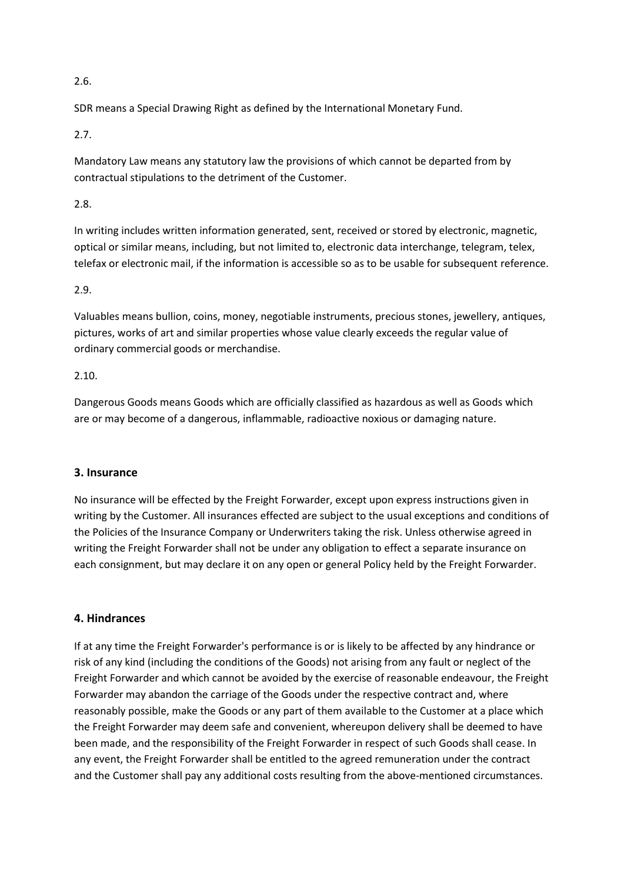### 2.6.

SDR means a Special Drawing Right as defined by the International Monetary Fund.

2.7.

Mandatory Law means any statutory law the provisions of which cannot be departed from by contractual stipulations to the detriment of the Customer.

2.8.

In writing includes written information generated, sent, received or stored by electronic, magnetic, optical or similar means, including, but not limited to, electronic data interchange, telegram, telex, telefax or electronic mail, if the information is accessible so as to be usable for subsequent reference.

#### 2.9.

Valuables means bullion, coins, money, negotiable instruments, precious stones, jewellery, antiques, pictures, works of art and similar properties whose value clearly exceeds the regular value of ordinary commercial goods or merchandise.

#### 2.10.

Dangerous Goods means Goods which are officially classified as hazardous as well as Goods which are or may become of a dangerous, inflammable, radioactive noxious or damaging nature.

#### **3. Insurance**

No insurance will be effected by the Freight Forwarder, except upon express instructions given in writing by the Customer. All insurances effected are subject to the usual exceptions and conditions of the Policies of the Insurance Company or Underwriters taking the risk. Unless otherwise agreed in writing the Freight Forwarder shall not be under any obligation to effect a separate insurance on each consignment, but may declare it on any open or general Policy held by the Freight Forwarder.

### **4. Hindrances**

If at any time the Freight Forwarder's performance is or is likely to be affected by any hindrance or risk of any kind (including the conditions of the Goods) not arising from any fault or neglect of the Freight Forwarder and which cannot be avoided by the exercise of reasonable endeavour, the Freight Forwarder may abandon the carriage of the Goods under the respective contract and, where reasonably possible, make the Goods or any part of them available to the Customer at a place which the Freight Forwarder may deem safe and convenient, whereupon delivery shall be deemed to have been made, and the responsibility of the Freight Forwarder in respect of such Goods shall cease. In any event, the Freight Forwarder shall be entitled to the agreed remuneration under the contract and the Customer shall pay any additional costs resulting from the above-mentioned circumstances.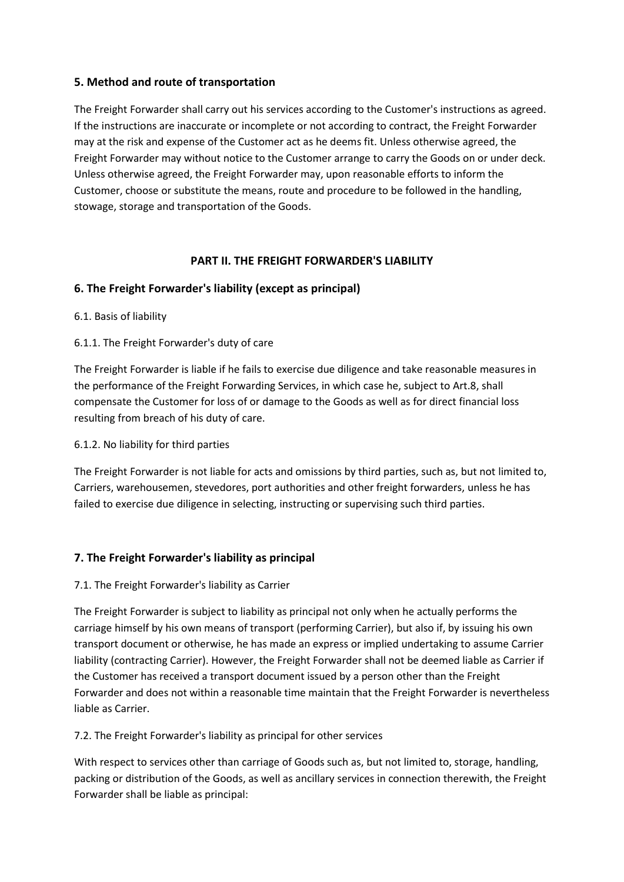### **5. Method and route of transportation**

The Freight Forwarder shall carry out his services according to the Customer's instructions as agreed. If the instructions are inaccurate or incomplete or not according to contract, the Freight Forwarder may at the risk and expense of the Customer act as he deems fit. Unless otherwise agreed, the Freight Forwarder may without notice to the Customer arrange to carry the Goods on or under deck. Unless otherwise agreed, the Freight Forwarder may, upon reasonable efforts to inform the Customer, choose or substitute the means, route and procedure to be followed in the handling, stowage, storage and transportation of the Goods.

## **PART II. THE FREIGHT FORWARDER'S LIABILITY**

### **6. The Freight Forwarder's liability (except as principal)**

- 6.1. Basis of liability
- 6.1.1. The Freight Forwarder's duty of care

The Freight Forwarder is liable if he fails to exercise due diligence and take reasonable measures in the performance of the Freight Forwarding Services, in which case he, subject to Art.8, shall compensate the Customer for loss of or damage to the Goods as well as for direct financial loss resulting from breach of his duty of care.

### 6.1.2. No liability for third parties

The Freight Forwarder is not liable for acts and omissions by third parties, such as, but not limited to, Carriers, warehousemen, stevedores, port authorities and other freight forwarders, unless he has failed to exercise due diligence in selecting, instructing or supervising such third parties.

## **7. The Freight Forwarder's liability as principal**

### 7.1. The Freight Forwarder's liability as Carrier

The Freight Forwarder is subject to liability as principal not only when he actually performs the carriage himself by his own means of transport (performing Carrier), but also if, by issuing his own transport document or otherwise, he has made an express or implied undertaking to assume Carrier liability (contracting Carrier). However, the Freight Forwarder shall not be deemed liable as Carrier if the Customer has received a transport document issued by a person other than the Freight Forwarder and does not within a reasonable time maintain that the Freight Forwarder is nevertheless liable as Carrier.

### 7.2. The Freight Forwarder's liability as principal for other services

With respect to services other than carriage of Goods such as, but not limited to, storage, handling, packing or distribution of the Goods, as well as ancillary services in connection therewith, the Freight Forwarder shall be liable as principal: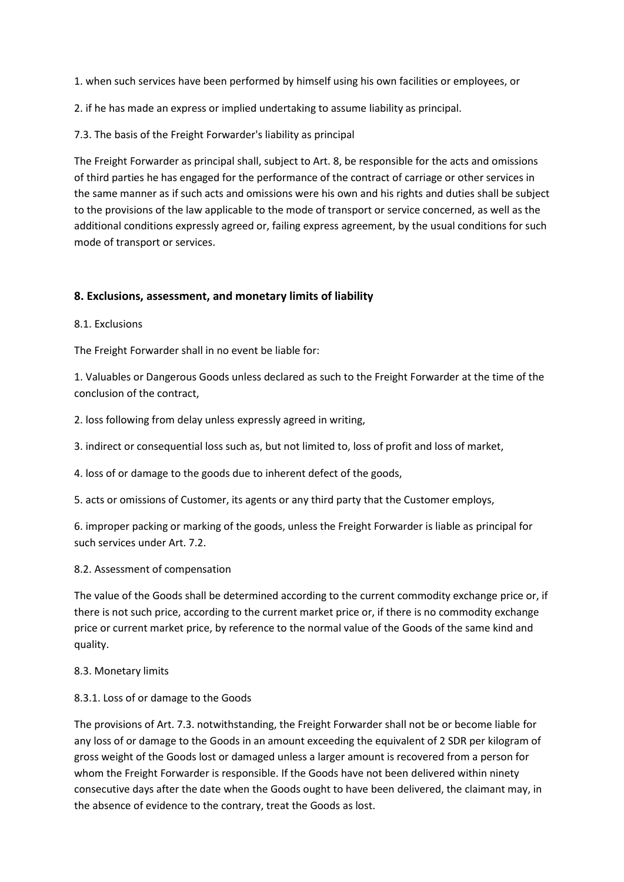- 1. when such services have been performed by himself using his own facilities or employees, or
- 2. if he has made an express or implied undertaking to assume liability as principal.
- 7.3. The basis of the Freight Forwarder's liability as principal

The Freight Forwarder as principal shall, subject to Art. 8, be responsible for the acts and omissions of third parties he has engaged for the performance of the contract of carriage or other services in the same manner as if such acts and omissions were his own and his rights and duties shall be subject to the provisions of the law applicable to the mode of transport or service concerned, as well as the additional conditions expressly agreed or, failing express agreement, by the usual conditions for such mode of transport or services.

#### **8. Exclusions, assessment, and monetary limits of liability**

8.1. Exclusions

The Freight Forwarder shall in no event be liable for:

1. Valuables or Dangerous Goods unless declared as such to the Freight Forwarder at the time of the conclusion of the contract,

2. loss following from delay unless expressly agreed in writing,

3. indirect or consequential loss such as, but not limited to, loss of profit and loss of market,

4. loss of or damage to the goods due to inherent defect of the goods,

5. acts or omissions of Customer, its agents or any third party that the Customer employs,

6. improper packing or marking of the goods, unless the Freight Forwarder is liable as principal for such services under Art. 7.2.

#### 8.2. Assessment of compensation

The value of the Goods shall be determined according to the current commodity exchange price or, if there is not such price, according to the current market price or, if there is no commodity exchange price or current market price, by reference to the normal value of the Goods of the same kind and quality.

#### 8.3. Monetary limits

#### 8.3.1. Loss of or damage to the Goods

The provisions of Art. 7.3. notwithstanding, the Freight Forwarder shall not be or become liable for any loss of or damage to the Goods in an amount exceeding the equivalent of 2 SDR per kilogram of gross weight of the Goods lost or damaged unless a larger amount is recovered from a person for whom the Freight Forwarder is responsible. If the Goods have not been delivered within ninety consecutive days after the date when the Goods ought to have been delivered, the claimant may, in the absence of evidence to the contrary, treat the Goods as lost.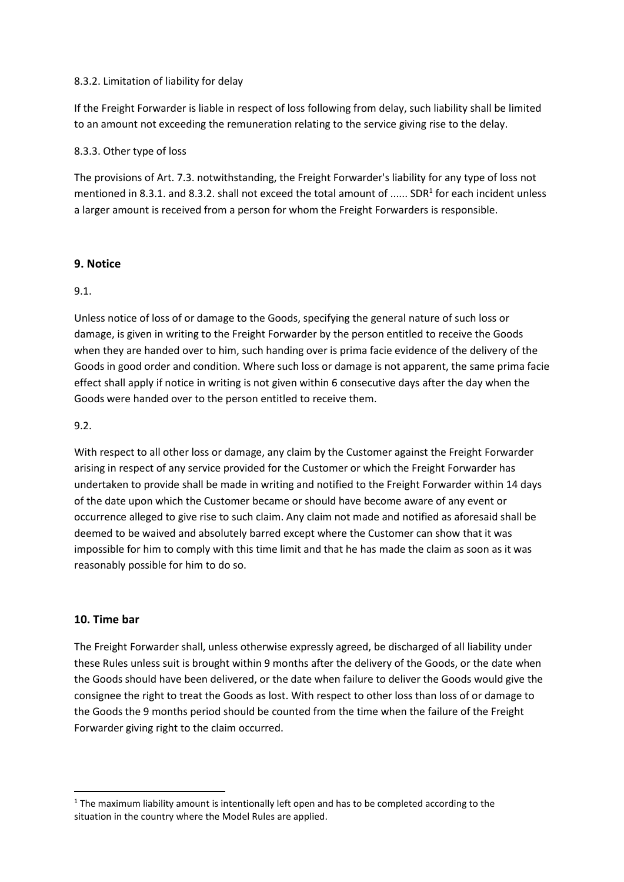#### 8.3.2. Limitation of liability for delay

If the Freight Forwarder is liable in respect of loss following from delay, such liability shall be limited to an amount not exceeding the remuneration relating to the service giving rise to the delay.

#### 8.3.3. Other type of loss

The provisions of Art. 7.3. notwithstanding, the Freight Forwarder's liability for any type of loss not mentioned in 8.3.1. and 8.3.2. shall not exceed the total amount of ...... SDR<sup>1</sup> for each incident unless a larger amount is received from a person for whom the Freight Forwarders is responsible.

### **9. Notice**

#### 9.1.

Unless notice of loss of or damage to the Goods, specifying the general nature of such loss or damage, is given in writing to the Freight Forwarder by the person entitled to receive the Goods when they are handed over to him, such handing over is prima facie evidence of the delivery of the Goods in good order and condition. Where such loss or damage is not apparent, the same prima facie effect shall apply if notice in writing is not given within 6 consecutive days after the day when the Goods were handed over to the person entitled to receive them.

#### 9.2.

With respect to all other loss or damage, any claim by the Customer against the Freight Forwarder arising in respect of any service provided for the Customer or which the Freight Forwarder has undertaken to provide shall be made in writing and notified to the Freight Forwarder within 14 days of the date upon which the Customer became or should have become aware of any event or occurrence alleged to give rise to such claim. Any claim not made and notified as aforesaid shall be deemed to be waived and absolutely barred except where the Customer can show that it was impossible for him to comply with this time limit and that he has made the claim as soon as it was reasonably possible for him to do so.

#### **10. Time bar**

1

The Freight Forwarder shall, unless otherwise expressly agreed, be discharged of all liability under these Rules unless suit is brought within 9 months after the delivery of the Goods, or the date when the Goods should have been delivered, or the date when failure to deliver the Goods would give the consignee the right to treat the Goods as lost. With respect to other loss than loss of or damage to the Goods the 9 months period should be counted from the time when the failure of the Freight Forwarder giving right to the claim occurred.

 $1$  The maximum liability amount is intentionally left open and has to be completed according to the situation in the country where the Model Rules are applied.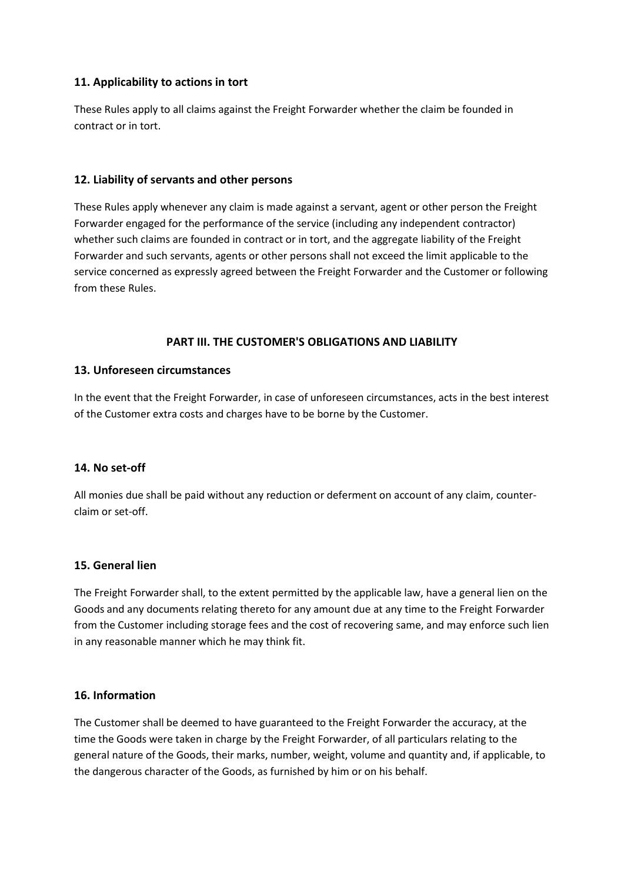### **11. Applicability to actions in tort**

These Rules apply to all claims against the Freight Forwarder whether the claim be founded in contract or in tort.

### **12. Liability of servants and other persons**

These Rules apply whenever any claim is made against a servant, agent or other person the Freight Forwarder engaged for the performance of the service (including any independent contractor) whether such claims are founded in contract or in tort, and the aggregate liability of the Freight Forwarder and such servants, agents or other persons shall not exceed the limit applicable to the service concerned as expressly agreed between the Freight Forwarder and the Customer or following from these Rules.

## **PART III. THE CUSTOMER'S OBLIGATIONS AND LIABILITY**

### **13. Unforeseen circumstances**

In the event that the Freight Forwarder, in case of unforeseen circumstances, acts in the best interest of the Customer extra costs and charges have to be borne by the Customer.

### **14. No set-off**

All monies due shall be paid without any reduction or deferment on account of any claim, counterclaim or set-off.

### **15. General lien**

The Freight Forwarder shall, to the extent permitted by the applicable law, have a general lien on the Goods and any documents relating thereto for any amount due at any time to the Freight Forwarder from the Customer including storage fees and the cost of recovering same, and may enforce such lien in any reasonable manner which he may think fit.

### **16. Information**

The Customer shall be deemed to have guaranteed to the Freight Forwarder the accuracy, at the time the Goods were taken in charge by the Freight Forwarder, of all particulars relating to the general nature of the Goods, their marks, number, weight, volume and quantity and, if applicable, to the dangerous character of the Goods, as furnished by him or on his behalf.